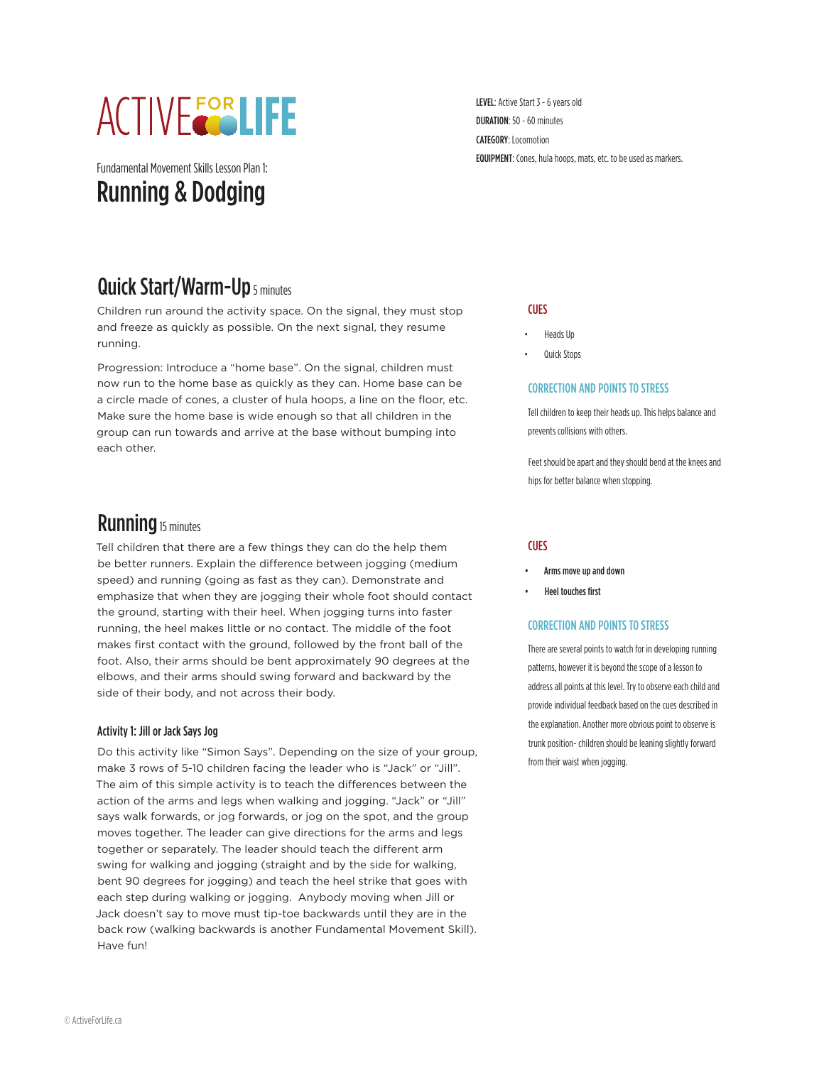# **ACTIVEFORLIFE**

Fundamental Movement Skills Lesson Plan 1: Running & Dodging

Quick Start/Warm-Up 5 minutes

Children run around the activity space. On the signal, they must stop and freeze as quickly as possible. On the next signal, they resume running.

Progression: Introduce a "home base". On the signal, children must now run to the home base as quickly as they can. Home base can be a circle made of cones, a cluster of hula hoops, a line on the floor, etc. Make sure the home base is wide enough so that all children in the group can run towards and arrive at the base without bumping into each other.

# **Running** 15 minutes

Tell children that there are a few things they can do the help them be better runners. Explain the difference between jogging (medium speed) and running (going as fast as they can). Demonstrate and emphasize that when they are jogging their whole foot should contact the ground, starting with their heel. When jogging turns into faster running, the heel makes little or no contact. The middle of the foot makes first contact with the ground, followed by the front ball of the foot. Also, their arms should be bent approximately 90 degrees at the elbows, and their arms should swing forward and backward by the side of their body, and not across their body.

## Activity 1: Jill or Jack Says Jog

Do this activity like "Simon Says". Depending on the size of your group, make 3 rows of 5-10 children facing the leader who is "Jack" or "Jill". The aim of this simple activity is to teach the differences between the action of the arms and legs when walking and jogging. "Jack" or "Jill" says walk forwards, or jog forwards, or jog on the spot, and the group moves together. The leader can give directions for the arms and legs together or separately. The leader should teach the different arm swing for walking and jogging (straight and by the side for walking, bent 90 degrees for jogging) and teach the heel strike that goes with each step during walking or jogging. Anybody moving when Jill or Jack doesn't say to move must tip-toe backwards until they are in the back row (walking backwards is another Fundamental Movement Skill). Have fun!

LEVEL: Active Start 3 - 6 years old DURATION: 50 - 60 minutes CATEGORY: Locomotion EQUIPMENT: Cones, hula hoops, mats, etc. to be used as markers.

#### **CUES**

- Heads Up
- Quick Stops

#### CORRECTION AND POINTS TO STRESS

Tell children to keep their heads up. This helps balance and prevents collisions with others.

Feet should be apart and they should bend at the knees and hips for better balance when stopping.

## **CUES**

- Arms move up and down
- Heel touches first

#### CORRECTION AND POINTS TO STRESS

There are several points to watch for in developing running patterns, however it is beyond the scope of a lesson to address all points at this level. Try to observe each child and provide individual feedback based on the cues described in the explanation. Another more obvious point to observe is trunk position- children should be leaning slightly forward from their waist when jogging.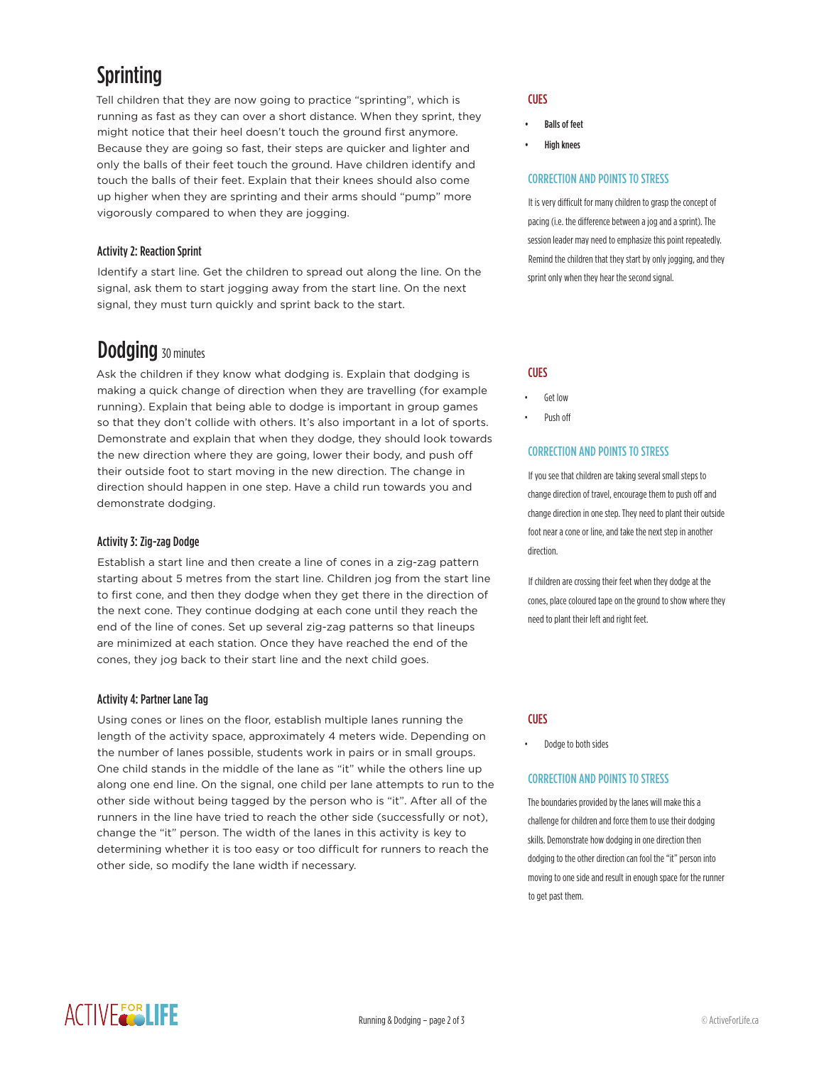# **Sprinting**

Tell children that they are now going to practice "sprinting", which is running as fast as they can over a short distance. When they sprint, they might notice that their heel doesn't touch the ground first anymore. Because they are going so fast, their steps are quicker and lighter and only the balls of their feet touch the ground. Have children identify and touch the balls of their feet. Explain that their knees should also come up higher when they are sprinting and their arms should "pump" more vigorously compared to when they are jogging.

# Activity 2: Reaction Sprint

Identify a start line. Get the children to spread out along the line. On the signal, ask them to start jogging away from the start line. On the next signal, they must turn quickly and sprint back to the start.

# **Dodging** 30 minutes

Ask the children if they know what dodging is. Explain that dodging is making a quick change of direction when they are travelling (for example running). Explain that being able to dodge is important in group games so that they don't collide with others. It's also important in a lot of sports. Demonstrate and explain that when they dodge, they should look towards the new direction where they are going, lower their body, and push off their outside foot to start moving in the new direction. The change in direction should happen in one step. Have a child run towards you and demonstrate dodging.

# Activity 3: Zig-zag Dodge

Establish a start line and then create a line of cones in a zig-zag pattern starting about 5 metres from the start line. Children jog from the start line to first cone, and then they dodge when they get there in the direction of the next cone. They continue dodging at each cone until they reach the end of the line of cones. Set up several zig-zag patterns so that lineups are minimized at each station. Once they have reached the end of the cones, they jog back to their start line and the next child goes.

# Activity 4: Partner Lane Tag

Using cones or lines on the floor, establish multiple lanes running the length of the activity space, approximately 4 meters wide. Depending on the number of lanes possible, students work in pairs or in small groups. One child stands in the middle of the lane as "it" while the others line up along one end line. On the signal, one child per lane attempts to run to the other side without being tagged by the person who is "it". After all of the runners in the line have tried to reach the other side (successfully or not), change the "it" person. The width of the lanes in this activity is key to determining whether it is too easy or too difficult for runners to reach the other side, so modify the lane width if necessary.

# **CUES**

- Balls of feet
- High knees

## CORRECTION AND POINTS TO STRESS

It is very difficult for many children to grasp the concept of pacing (i.e. the difference between a jog and a sprint). The session leader may need to emphasize this point repeatedly. Remind the children that they start by only jogging, and they sprint only when they hear the second signal.

## **CUES**

- Get low
- Push off

# CORRECTION AND POINTS TO STRESS

If you see that children are taking several small steps to change direction of travel, encourage them to push off and change direction in one step. They need to plant their outside foot near a cone or line, and take the next step in another direction.

If children are crossing their feet when they dodge at the cones, place coloured tape on the ground to show where they need to plant their left and right feet.

# **CUES**

• Dodge to both sides

## CORRECTION AND POINTS TO STRESS

The boundaries provided by the lanes will make this a challenge for children and force them to use their dodging skills. Demonstrate how dodging in one direction then dodging to the other direction can fool the "it" person into moving to one side and result in enough space for the runner to get past them.